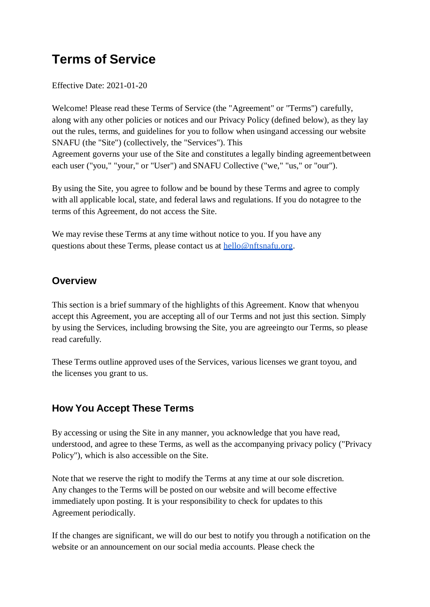# **Terms of Service**

Effective Date: 2021-01-20

Welcome! Please read these Terms of Service (the "Agreement" or "Terms") carefully, along with any other policies or notices and our Privacy Policy (defined below), as they lay out the rules, terms, and guidelines for you to follow when usingand accessing our website SNAFU (the "Site") (collectively, the "Services"). This Agreement governs your use of the Site and constitutes a legally binding agreementbetween each user ("you," "your," or "User") and SNAFU Collective ("we," "us," or "our").

By using the Site, you agree to follow and be bound by these Terms and agree to comply with all applicable local, state, and federal laws and regulations. If you do notagree to the terms of this Agreement, do not access the Site.

We may revise these Terms at any time without notice to you. If you have any questions about these Terms, please contact us at [hello@nftsnafu.org.](mailto:info@alexsyo.com)

#### **Overview**

This section is a brief summary of the highlights of this Agreement. Know that whenyou accept this Agreement, you are accepting all of our Terms and not just this section. Simply by using the Services, including browsing the Site, you are agreeingto our Terms, so please read carefully.

These Terms outline approved uses of the Services, various licenses we grant toyou, and the licenses you grant to us.

### **How You Accept These Terms**

By accessing or using the Site in any manner, you acknowledge that you have read, understood, and agree to these Terms, as well as the accompanying privacy policy ("Privacy Policy"), which is also accessible on the Site.

Note that we reserve the right to modify the Terms at any time at our sole discretion. Any changes to the Terms will be posted on our website and will become effective immediately upon posting. It is your responsibility to check for updates to this Agreement periodically.

If the changes are significant, we will do our best to notify you through a notification on the website or an announcement on our social media accounts. Please check the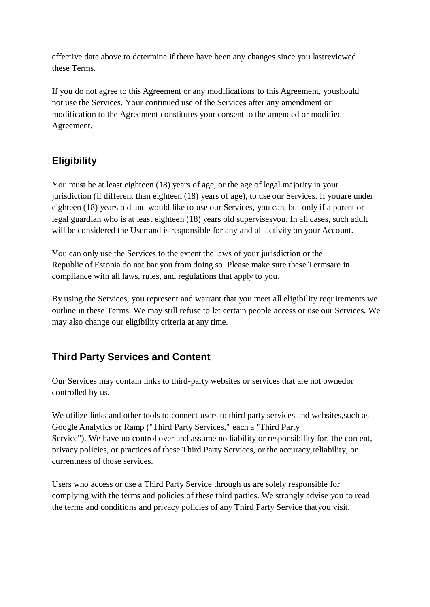effective date above to determine if there have been any changes since you lastreviewed these Terms.

If you do not agree to this Agreement or any modifications to this Agreement, youshould not use the Services. Your continued use of the Services after any amendment or modification to the Agreement constitutes your consent to the amended or modified Agreement.

# **Eligibility**

You must be at least eighteen (18) years of age, or the age of legal majority in your jurisdiction (if different than eighteen (18) years of age), to use our Services. If youare under eighteen (18) years old and would like to use our Services, you can, but only if a parent or legal guardian who is at least eighteen (18) years old supervisesyou. In all cases, such adult will be considered the User and is responsible for any and all activity on your Account.

You can only use the Services to the extent the laws of your jurisdiction or the Republic of Estonia do not bar you from doing so. Please make sure these Termsare in compliance with all laws, rules, and regulations that apply to you.

By using the Services, you represent and warrant that you meet all eligibility requirements we outline in these Terms. We may still refuse to let certain people access or use our Services. We may also change our eligibility criteria at any time.

### **Third Party Services and Content**

Our Services may contain links to third-party websites or services that are not ownedor controlled by us.

We utilize links and other tools to connect users to third party services and websites, such as Google Analytics or Ramp ("Third Party Services," each a "Third Party Service"). We have no control over and assume no liability or responsibility for, the content, privacy policies, or practices of these Third Party Services, or the accuracy,reliability, or currentness of those services.

Users who access or use a Third Party Service through us are solely responsible for complying with the terms and policies of these third parties. We strongly advise you to read the terms and conditions and privacy policies of any Third Party Service thatyou visit.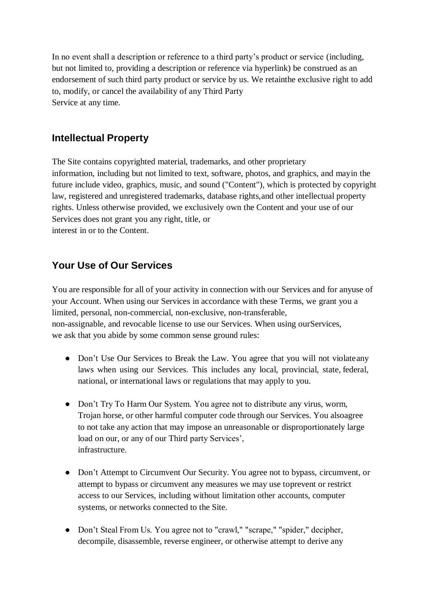In no event shall a description or reference to a third party's product or service (including, but not limited to, providing a description or reference via hyperlink) be construed as an endorsement of such third party product or service by us. We retainthe exclusive right to add to, modify, or cancel the availability of any Third Party Service at any time.

#### **Intellectual Property**

The Site contains copyrighted material, trademarks, and other proprietary information, including but not limited to text, software, photos, and graphics, and mayin the future include video, graphics, music, and sound ("Content"), which is protected by copyright law, registered and unregistered trademarks, database rights,and other intellectual property rights. Unless otherwise provided, we exclusively own the Content and your use of our Services does not grant you any right, title, or interest in or to the Content.

### **Your Use of Our Services**

You are responsible for all of your activity in connection with our Services and for anyuse of your Account. When using our Services in accordance with these Terms, we grant you a limited, personal, non-commercial, non-exclusive, non-transferable, non-assignable, and revocable license to use our Services. When using ourServices, we ask that you abide by some common sense ground rules:

- Don't Use Our Services to Break the Law. You agree that you will not violateany laws when using our Services. This includes any local, provincial, state, federal, national, or international laws or regulations that may apply to you.
- Don't Try To Harm Our System. You agree not to distribute any virus, worm, Trojan horse, or other harmful computer code through our Services. You alsoagree to not take any action that may impose an unreasonable or disproportionately large load on our, or any of our Third party Services', infrastructure.
- Don't Attempt to Circumvent Our Security. You agree not to bypass, circumvent, or attempt to bypass or circumvent any measures we may use toprevent or restrict access to our Services, including without limitation other accounts, computer systems, or networks connected to the Site.
- Don't Steal From Us. You agree not to "crawl," "scrape," "spider," decipher, decompile, disassemble, reverse engineer, or otherwise attempt to derive any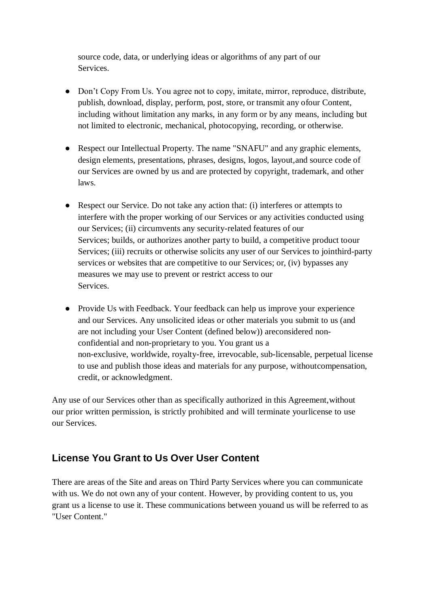source code, data, or underlying ideas or algorithms of any part of our Services.

- Don't Copy From Us. You agree not to copy, imitate, mirror, reproduce, distribute, publish, download, display, perform, post, store, or transmit any ofour Content, including without limitation any marks, in any form or by any means, including but not limited to electronic, mechanical, photocopying, recording, or otherwise.
- Respect our Intellectual Property. The name "SNAFU" and any graphic elements, design elements, presentations, phrases, designs, logos, layout,and source code of our Services are owned by us and are protected by copyright, trademark, and other laws.
- Respect our Service. Do not take any action that: (i) interferes or attempts to interfere with the proper working of our Services or any activities conducted using our Services; (ii) circumvents any security-related features of our Services; builds, or authorizes another party to build, a competitive product toour Services; (iii) recruits or otherwise solicits any user of our Services to jointhird-party services or websites that are competitive to our Services; or, (iv) bypasses any measures we may use to prevent or restrict access to our Services.
- Provide Us with Feedback. Your feedback can help us improve your experience and our Services. Any unsolicited ideas or other materials you submit to us (and are not including your User Content (defined below)) areconsidered nonconfidential and non-proprietary to you. You grant us a non-exclusive, worldwide, royalty-free, irrevocable, sub-licensable, perpetual license to use and publish those ideas and materials for any purpose, withoutcompensation, credit, or acknowledgment.

Any use of our Services other than as specifically authorized in this Agreement,without our prior written permission, is strictly prohibited and will terminate yourlicense to use our Services.

### **License You Grant to Us Over User Content**

There are areas of the Site and areas on Third Party Services where you can communicate with us. We do not own any of your content. However, by providing content to us, you grant us a license to use it. These communications between youand us will be referred to as "User Content."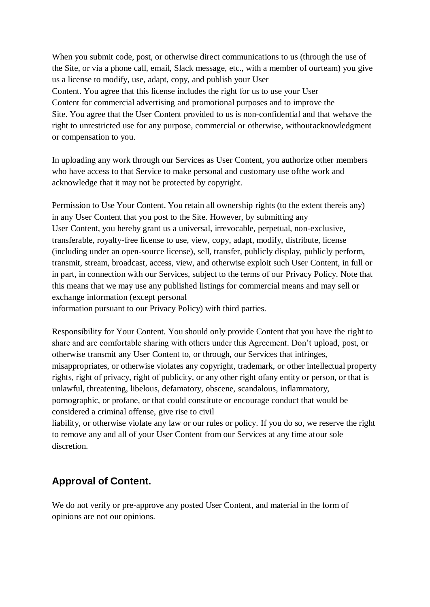When you submit code, post, or otherwise direct communications to us (through the use of the Site, or via a phone call, email, Slack message, etc., with a member of ourteam) you give us a license to modify, use, adapt, copy, and publish your User Content. You agree that this license includes the right for us to use your User Content for commercial advertising and promotional purposes and to improve the Site. You agree that the User Content provided to us is non-confidential and that wehave the right to unrestricted use for any purpose, commercial or otherwise, withoutacknowledgment or compensation to you.

In uploading any work through our Services as User Content, you authorize other members who have access to that Service to make personal and customary use ofthe work and acknowledge that it may not be protected by copyright.

Permission to Use Your Content. You retain all ownership rights (to the extent thereis any) in any User Content that you post to the Site. However, by submitting any User Content, you hereby grant us a universal, irrevocable, perpetual, non-exclusive, transferable, royalty-free license to use, view, copy, adapt, modify, distribute, license (including under an open-source license), sell, transfer, publicly display, publicly perform, transmit, stream, broadcast, access, view, and otherwise exploit such User Content, in full or in part, in connection with our Services, subject to the terms of our Privacy Policy. Note that this means that we may use any published listings for commercial means and may sell or exchange information (except personal information pursuant to our Privacy Policy) with third parties.

Responsibility for Your Content. You should only provide Content that you have the right to share and are comfortable sharing with others under this Agreement. Don't upload, post, or otherwise transmit any User Content to, or through, our Services that infringes, misappropriates, or otherwise violates any copyright, trademark, or other intellectual property rights, right of privacy, right of publicity, or any other right ofany entity or person, or that is unlawful, threatening, libelous, defamatory, obscene, scandalous, inflammatory, pornographic, or profane, or that could constitute or encourage conduct that would be considered a criminal offense, give rise to civil

liability, or otherwise violate any law or our rules or policy. If you do so, we reserve the right to remove any and all of your User Content from our Services at any time atour sole discretion.

### **Approval of Content.**

We do not verify or pre-approve any posted User Content, and material in the form of opinions are not our opinions.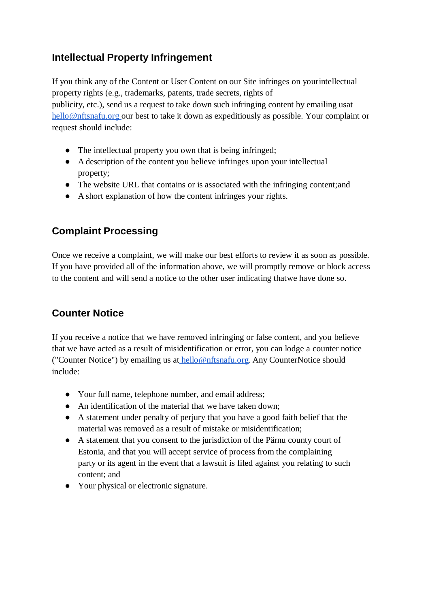### **Intellectual Property Infringement**

If you think any of the Content or User Content on our Site infringes on yourintellectual property rights (e.g., trademarks, patents, trade secrets, rights of publicity, etc.), send us a request to take down such infringing content by emailing usat [hello@nftsnafu.org](mailto:hello@nftsnafu.org) our best to take it down as expeditiously as possible. Your complaint or request should include:

- The intellectual property you own that is being infringed;
- A description of the content you believe infringes upon your intellectual property;
- The website URL that contains or is associated with the infringing content; and
- A short explanation of how the content infringes your rights.

# **Complaint Processing**

Once we receive a complaint, we will make our best efforts to review it as soon as possible. If you have provided all of the information above, we will promptly remove or block access to the content and will send a notice to the other user indicating thatwe have done so.

# **Counter Notice**

If you receive a notice that we have removed infringing or false content, and you believe that we have acted as a result of misidentification or error, you can lodge a counter notice ("Counter Notice") by emailing us a[t](mailto:info@alexsyo.com) hello@nftsnafu.org. Any CounterNotice should include:

- Your full name, telephone number, and email address;
- An identification of the material that we have taken down:
- A statement under penalty of perjury that you have a good faith belief that the material was removed as a result of mistake or misidentification;
- A statement that you consent to the jurisdiction of the Pärnu county court of Estonia, and that you will accept service of process from the complaining party or its agent in the event that a lawsuit is filed against you relating to such content; and
- Your physical or electronic signature.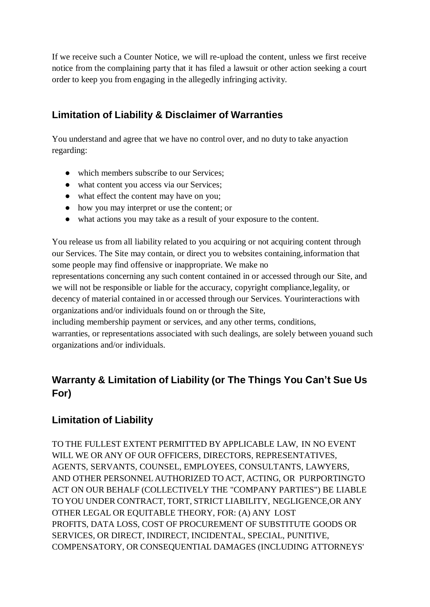If we receive such a Counter Notice, we will re-upload the content, unless we first receive notice from the complaining party that it has filed a lawsuit or other action seeking a court order to keep you from engaging in the allegedly infringing activity.

### **Limitation of Liability & Disclaimer of Warranties**

You understand and agree that we have no control over, and no duty to take anyaction regarding:

- which members subscribe to our Services;
- what content you access via our Services;
- what effect the content may have on you;
- how you may interpret or use the content; or
- what actions you may take as a result of your exposure to the content.

You release us from all liability related to you acquiring or not acquiring content through our Services. The Site may contain, or direct you to websites containing,information that some people may find offensive or inappropriate. We make no

representations concerning any such content contained in or accessed through our Site, and we will not be responsible or liable for the accuracy, copyright compliance,legality, or decency of material contained in or accessed through our Services. Yourinteractions with organizations and/or individuals found on or through the Site,

including membership payment or services, and any other terms, conditions,

warranties, or representations associated with such dealings, are solely between youand such organizations and/or individuals.

# **Warranty & Limitation of Liability (or The Things You Can't Sue Us For)**

### **Limitation of Liability**

TO THE FULLEST EXTENT PERMITTED BY APPLICABLE LAW, IN NO EVENT WILL WE OR ANY OF OUR OFFICERS, DIRECTORS, REPRESENTATIVES, AGENTS, SERVANTS, COUNSEL, EMPLOYEES, CONSULTANTS, LAWYERS, AND OTHER PERSONNEL AUTHORIZED TO ACT, ACTING, OR PURPORTINGTO ACT ON OUR BEHALF (COLLECTIVELY THE "COMPANY PARTIES") BE LIABLE TO YOU UNDER CONTRACT, TORT, STRICT LIABILITY, NEGLIGENCE,OR ANY OTHER LEGAL OR EQUITABLE THEORY, FOR: (A) ANY LOST PROFITS, DATA LOSS, COST OF PROCUREMENT OF SUBSTITUTE GOODS OR SERVICES, OR DIRECT, INDIRECT, INCIDENTAL, SPECIAL, PUNITIVE, COMPENSATORY, OR CONSEQUENTIAL DAMAGES (INCLUDING ATTORNEYS'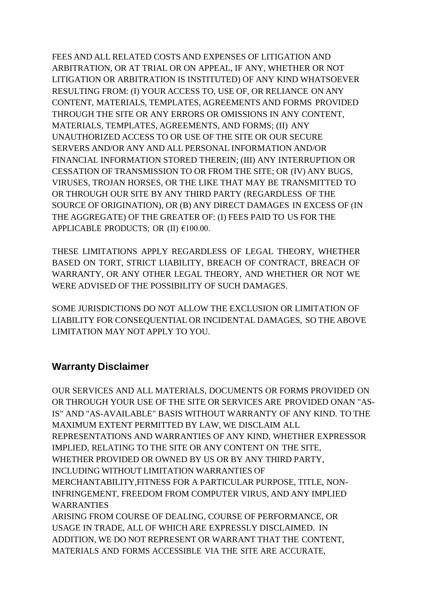FEES AND ALL RELATED COSTS AND EXPENSES OF LITIGATION AND ARBITRATION, OR AT TRIAL OR ON APPEAL, IF ANY, WHETHER OR NOT LITIGATION OR ARBITRATION IS INSTITUTED) OF ANY KIND WHATSOEVER RESULTING FROM: (I) YOUR ACCESS TO, USE OF, OR RELIANCE ON ANY CONTENT, MATERIALS, TEMPLATES, AGREEMENTS AND FORMS PROVIDED THROUGH THE SITE OR ANY ERRORS OR OMISSIONS IN ANY CONTENT, MATERIALS, TEMPLATES, AGREEMENTS, AND FORMS; (II) ANY UNAUTHORIZED ACCESS TO OR USE OF THE SITE OR OUR SECURE SERVERS AND/OR ANY AND ALL PERSONAL INFORMATION AND/OR FINANCIAL INFORMATION STORED THEREIN; (III) ANY INTERRUPTION OR CESSATION OF TRANSMISSION TO OR FROM THE SITE; OR (IV) ANY BUGS, VIRUSES, TROJAN HORSES, OR THE LIKE THAT MAY BE TRANSMITTED TO OR THROUGH OUR SITE BY ANY THIRD PARTY (REGARDLESS OF THE SOURCE OF ORIGINATION), OR (B) ANY DIRECT DAMAGES IN EXCESS OF (IN THE AGGREGATE) OF THE GREATER OF: (I) FEES PAID TO US FOR THE APPLICABLE PRODUCTS; OR  $(II)$   $€100.00$ .

THESE LIMITATIONS APPLY REGARDLESS OF LEGAL THEORY, WHETHER BASED ON TORT, STRICT LIABILITY, BREACH OF CONTRACT, BREACH OF WARRANTY, OR ANY OTHER LEGAL THEORY, AND WHETHER OR NOT WE WERE ADVISED OF THE POSSIBILITY OF SUCH DAMAGES.

SOME JURISDICTIONS DO NOT ALLOW THE EXCLUSION OR LIMITATION OF LIABILITY FOR CONSEQUENTIAL OR INCIDENTAL DAMAGES, SO THE ABOVE LIMITATION MAY NOT APPLY TO YOU.

#### **Warranty Disclaimer**

OUR SERVICES AND ALL MATERIALS, DOCUMENTS OR FORMS PROVIDED ON OR THROUGH YOUR USE OF THE SITE OR SERVICES ARE PROVIDED ONAN "AS-IS" AND "AS-AVAILABLE" BASIS WITHOUT WARRANTY OF ANY KIND. TO THE MAXIMUM EXTENT PERMITTED BY LAW, WE DISCLAIM ALL REPRESENTATIONS AND WARRANTIES OF ANY KIND, WHETHER EXPRESSOR IMPLIED, RELATING TO THE SITE OR ANY CONTENT ON THE SITE, WHETHER PROVIDED OR OWNED BY US OR BY ANY THIRD PARTY, INCLUDING WITHOUT LIMITATION WARRANTIES OF MERCHANTABILITY,FITNESS FOR A PARTICULAR PURPOSE, TITLE, NON-INFRINGEMENT, FREEDOM FROM COMPUTER VIRUS, AND ANY IMPLIED WARRANTIES ARISING FROM COURSE OF DEALING, COURSE OF PERFORMANCE, OR USAGE IN TRADE, ALL OF WHICH ARE EXPRESSLY DISCLAIMED. IN ADDITION, WE DO NOT REPRESENT OR WARRANT THAT THE CONTENT, MATERIALS AND FORMS ACCESSIBLE VIA THE SITE ARE ACCURATE,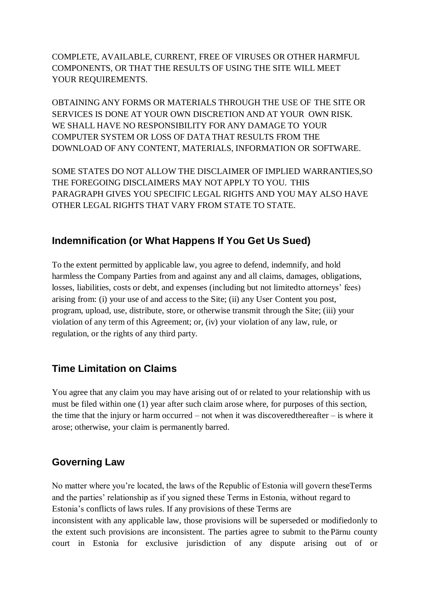COMPLETE, AVAILABLE, CURRENT, FREE OF VIRUSES OR OTHER HARMFUL COMPONENTS, OR THAT THE RESULTS OF USING THE SITE WILL MEET YOUR REQUIREMENTS.

OBTAINING ANY FORMS OR MATERIALS THROUGH THE USE OF THE SITE OR SERVICES IS DONE AT YOUR OWN DISCRETION AND AT YOUR OWN RISK. WE SHALL HAVE NO RESPONSIBILITY FOR ANY DAMAGE TO YOUR COMPUTER SYSTEM OR LOSS OF DATATHAT RESULTS FROM THE DOWNLOAD OF ANY CONTENT, MATERIALS, INFORMATION OR SOFTWARE.

SOME STATES DO NOT ALLOW THE DISCLAIMER OF IMPLIED WARRANTIES,SO THE FOREGOING DISCLAIMERS MAY NOT APPLY TO YOU. THIS PARAGRAPH GIVES YOU SPECIFIC LEGAL RIGHTS AND YOU MAY ALSO HAVE OTHER LEGAL RIGHTS THAT VARY FROM STATE TO STATE.

#### **Indemnification (or What Happens If You Get Us Sued)**

To the extent permitted by applicable law, you agree to defend, indemnify, and hold harmless the Company Parties from and against any and all claims, damages, obligations, losses, liabilities, costs or debt, and expenses (including but not limitedto attorneys' fees) arising from: (i) your use of and access to the Site; (ii) any User Content you post, program, upload, use, distribute, store, or otherwise transmit through the Site; (iii) your violation of any term of this Agreement; or, (iv) your violation of any law, rule, or regulation, or the rights of any third party.

#### **Time Limitation on Claims**

You agree that any claim you may have arising out of or related to your relationship with us must be filed within one (1) year after such claim arose where, for purposes of this section, the time that the injury or harm occurred – not when it was discoveredthereafter – is where it arose; otherwise, your claim is permanently barred.

#### **Governing Law**

No matter where you're located, the laws of the Republic of Estonia will govern theseTerms and the parties' relationship as if you signed these Terms in Estonia, without regard to Estonia's conflicts of laws rules. If any provisions of these Terms are inconsistent with any applicable law, those provisions will be superseded or modifiedonly to the extent such provisions are inconsistent. The parties agree to submit to the Pärnu county court in Estonia for exclusive jurisdiction of any dispute arising out of or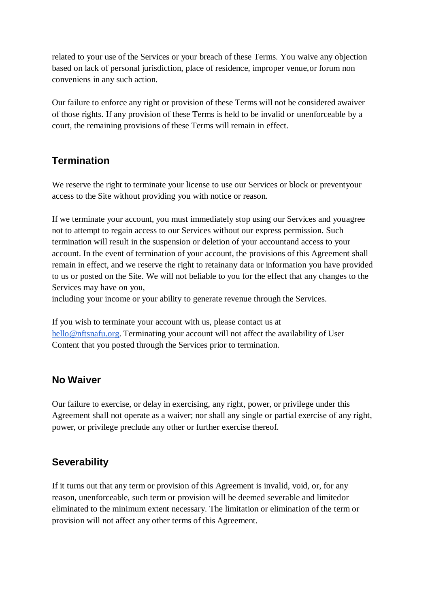related to your use of the Services or your breach of these Terms. You waive any objection based on lack of personal jurisdiction, place of residence, improper venue,or forum non conveniens in any such action.

Our failure to enforce any right or provision of these Terms will not be considered awaiver of those rights. If any provision of these Terms is held to be invalid or unenforceable by a court, the remaining provisions of these Terms will remain in effect.

### **Termination**

We reserve the right to terminate your license to use our Services or block or preventyour access to the Site without providing you with notice or reason.

If we terminate your account, you must immediately stop using our Services and youagree not to attempt to regain access to our Services without our express permission. Such termination will result in the suspension or deletion of your accountand access to your account. In the event of termination of your account, the provisions of this Agreement shall remain in effect, and we reserve the right to retainany data or information you have provided to us or posted on the Site. We will not beliable to you for the effect that any changes to the Services may have on you,

including your income or your ability to generate revenue through the Services.

If you wish to terminate your account with us, please contact us at [he](mailto:info@alexsyo.com)llo@nftsnafu.org. Terminating your account will not affect the availability of User Content that you posted through the Services prior to termination.

### **No Waiver**

Our failure to exercise, or delay in exercising, any right, power, or privilege under this Agreement shall not operate as a waiver; nor shall any single or partial exercise of any right, power, or privilege preclude any other or further exercise thereof.

### **Severability**

If it turns out that any term or provision of this Agreement is invalid, void, or, for any reason, unenforceable, such term or provision will be deemed severable and limitedor eliminated to the minimum extent necessary. The limitation or elimination of the term or provision will not affect any other terms of this Agreement.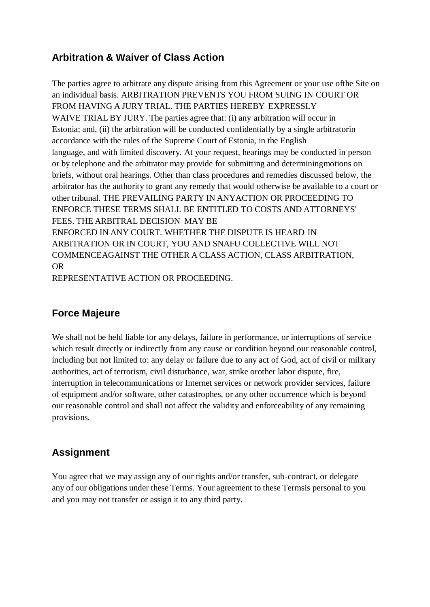### **Arbitration & Waiver of Class Action**

The parties agree to arbitrate any dispute arising from this Agreement or your use ofthe Site on an individual basis. ARBITRATION PREVENTS YOU FROM SUING IN COURT OR FROM HAVING A JURY TRIAL. THE PARTIES HEREBY EXPRESSLY WAIVE TRIAL BY JURY. The parties agree that: (i) any arbitration will occur in Estonia; and, (ii) the arbitration will be conducted confidentially by a single arbitratorin accordance with the rules of the Supreme Court of Estonia, in the English language, and with limited discovery. At your request, hearings may be conducted in person or by telephone and the arbitrator may provide for submitting and determiningmotions on briefs, without oral hearings. Other than class procedures and remedies discussed below, the arbitrator has the authority to grant any remedy that would otherwise be available to a court or other tribunal. THE PREVAILING PARTY IN ANYACTION OR PROCEEDING TO ENFORCE THESE TERMS SHALL BE ENTITLED TO COSTS AND ATTORNEYS' FEES. THE ARBITRAL DECISION MAY BE ENFORCED IN ANY COURT. WHETHER THE DISPUTE IS HEARD IN ARBITRATION OR IN COURT, YOU AND SNAFU COLLECTIVE WILL NOT COMMENCEAGAINST THE OTHER A CLASS ACTION, CLASS ARBITRATION, OR

REPRESENTATIVE ACTION OR PROCEEDING.

### **Force Majeure**

We shall not be held liable for any delays, failure in performance, or interruptions of service which result directly or indirectly from any cause or condition beyond our reasonable control, including but not limited to: any delay or failure due to any act of God, act of civil or military authorities, act of terrorism, civil disturbance, war, strike orother labor dispute, fire, interruption in telecommunications or Internet services or network provider services, failure of equipment and/or software, other catastrophes, or any other occurrence which is beyond our reasonable control and shall not affect the validity and enforceability of any remaining provisions.

### **Assignment**

You agree that we may assign any of our rights and/or transfer, sub-contract, or delegate any of our obligations under these Terms. Your agreement to these Termsis personal to you and you may not transfer or assign it to any third party.